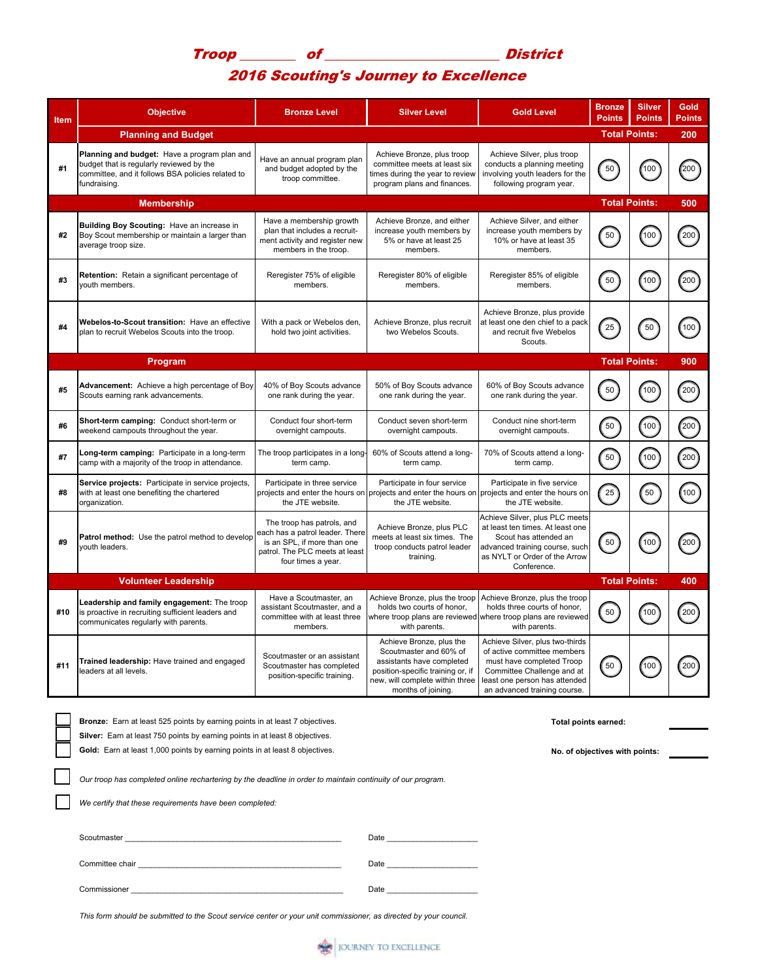## Troop \_\_\_\_\_\_\_\_ of \_\_\_\_\_\_\_\_\_\_\_\_\_\_\_\_\_\_\_\_\_\_\_\_\_ District 2016 Scouting's Journey to Excellence

| <b>Item</b> | <b>Objective</b>                                                                                                                                                                                                               | <b>Bronze Level</b>                                                                                                                                                                                                            | <b>Silver Level</b>                                                                                                                                                           | <b>Gold Level</b>                                                                                                                                                                          | <b>Bronze</b><br><b>Points</b> | <b>Silver</b><br><b>Points</b> | Gold<br>Points     |
|-------------|--------------------------------------------------------------------------------------------------------------------------------------------------------------------------------------------------------------------------------|--------------------------------------------------------------------------------------------------------------------------------------------------------------------------------------------------------------------------------|-------------------------------------------------------------------------------------------------------------------------------------------------------------------------------|--------------------------------------------------------------------------------------------------------------------------------------------------------------------------------------------|--------------------------------|--------------------------------|--------------------|
|             | <b>Planning and Budget</b>                                                                                                                                                                                                     | <b>Total Points:</b><br>200                                                                                                                                                                                                    |                                                                                                                                                                               |                                                                                                                                                                                            |                                |                                |                    |
| #1          | Planning and budget: Have a program plan and<br>budget that is regularly reviewed by the<br>committee, and it follows BSA policies related to<br>fundraising.                                                                  | Have an annual program plan<br>and budget adopted by the<br>troop committee.                                                                                                                                                   | Achieve Bronze, plus troop<br>committee meets at least six<br>times during the year to review<br>program plans and finances.                                                  | Achieve Silver, plus troop<br>conducts a planning meeting<br>involving youth leaders for the<br>following program year.                                                                    | 50                             | 100]                           | 200                |
|             | <b>Membership</b>                                                                                                                                                                                                              |                                                                                                                                                                                                                                | <b>Total Points:</b>                                                                                                                                                          |                                                                                                                                                                                            | 500                            |                                |                    |
| #2          | Building Boy Scouting: Have an increase in<br>Boy Scout membership or maintain a larger than<br>average troop size.                                                                                                            | Have a membership growth<br>plan that includes a recruit-<br>ment activity and register new<br>members in the troop.                                                                                                           | Achieve Bronze, and either<br>increase youth members by<br>5% or have at least 25<br>members.                                                                                 | Achieve Silver, and either<br>increase youth members by<br>10% or have at least 35<br>members.                                                                                             | 50                             | 100                            | 200                |
| #3          | Retention: Retain a significant percentage of<br>vouth members.                                                                                                                                                                | Reregister 75% of eligible<br>members.                                                                                                                                                                                         | Reregister 80% of eligible<br>members.                                                                                                                                        | Reregister 85% of eligible<br>members.                                                                                                                                                     | 50                             | 100                            | (200)              |
| #4          | Webelos-to-Scout transition: Have an effective<br>plan to recruit Webelos Scouts into the troop.                                                                                                                               | With a pack or Webelos den,<br>hold two joint activities.                                                                                                                                                                      | Achieve Bronze, plus recruit<br>two Webelos Scouts.                                                                                                                           | Achieve Bronze, plus provide<br>at least one den chief to a pack<br>and recruit five Webelos<br>Scouts.                                                                                    | 25                             | $50^{\circ}$                   | (100)              |
|             | Program                                                                                                                                                                                                                        |                                                                                                                                                                                                                                |                                                                                                                                                                               |                                                                                                                                                                                            | <b>Total Points:</b>           |                                | 900                |
| #5          | Advancement: Achieve a high percentage of Boy<br>Scouts earning rank advancements.                                                                                                                                             | 40% of Boy Scouts advance<br>one rank during the year.                                                                                                                                                                         | 50% of Boy Scouts advance<br>one rank during the year.                                                                                                                        | 60% of Boy Scouts advance<br>one rank during the year.                                                                                                                                     | 50                             | (100)                          | (200)              |
| #6          | Short-term camping: Conduct short-term or<br>weekend campouts throughout the year.                                                                                                                                             | Conduct four short-term<br>overnight campouts.                                                                                                                                                                                 | Conduct seven short-term<br>overnight campouts.                                                                                                                               | Conduct nine short-term<br>overnight campouts.                                                                                                                                             | 50 <sup>2</sup>                | 100                            | (200)              |
| #7          | Long-term camping: Participate in a long-term<br>camp with a majority of the troop in attendance.                                                                                                                              | The troop participates in a long-<br>term camp.                                                                                                                                                                                | 60% of Scouts attend a long-<br>term camp.                                                                                                                                    | 70% of Scouts attend a long-<br>term camp.                                                                                                                                                 | 50                             | (100)                          | $\left(200\right)$ |
| #8          | Service projects: Participate in service projects,<br>with at least one benefiting the chartered<br>organization.                                                                                                              | Participate in three service<br>projects and enter the hours on<br>the JTE website.                                                                                                                                            | Participate in four service<br>projects and enter the hours on projects and enter the hours on<br>the JTE website.                                                            | Participate in five service<br>the JTE website.                                                                                                                                            | 25                             | 50                             | (100)              |
| #9          | Patrol method: Use the patrol method to develop<br>youth leaders.                                                                                                                                                              | The troop has patrols, and<br>each has a patrol leader. There<br>is an SPL, if more than one<br>patrol. The PLC meets at least<br>four times a year.                                                                           | Achieve Bronze, plus PLC<br>meets at least six times. The<br>troop conducts patrol leader<br>training.                                                                        | Achieve Silver, plus PLC meets<br>at least ten times. At least one<br>Scout has attended an<br>advanced training course, such<br>as NYLT or Order of the Arrow<br>Conference.              | 50                             | (100)                          | (200)              |
|             | <b>Volunteer Leadership</b>                                                                                                                                                                                                    |                                                                                                                                                                                                                                |                                                                                                                                                                               |                                                                                                                                                                                            | <b>Total Points:</b>           |                                | 400                |
| #10         | Leadership and family engagement: The troop<br>is proactive in recruiting sufficient leaders and<br>communicates regularly with parents.                                                                                       | Have a Scoutmaster, an<br>assistant Scoutmaster, and a<br>committee with at least three<br>members.                                                                                                                            | Achieve Bronze, plus the troop<br>holds two courts of honor,<br>with parents.                                                                                                 | Achieve Bronze, plus the troop<br>holds three courts of honor,<br>where troop plans are reviewed where troop plans are reviewed<br>with parents.                                           | 50                             | 100                            | 200                |
| #11         | Trained leadership: Have trained and engaged<br>leaders at all levels.                                                                                                                                                         | Scoutmaster or an assistant<br>Scoutmaster has completed<br>position-specific training.                                                                                                                                        | Achieve Bronze, plus the<br>Scoutmaster and 60% of<br>assistants have completed<br>position-specific training or, if<br>new, will complete within three<br>months of joining. | Achieve Silver, plus two-thirds<br>of active committee members<br>must have completed Troop<br>Committee Challenge and at<br>least one person has attended<br>an advanced training course. | 50                             | 100                            | 200                |
|             | Bronze: Earn at least 525 points by earning points in at least 7 objectives.<br>Silver: Earn at least 750 points by earning points in at least 8 objectives.                                                                   |                                                                                                                                                                                                                                | Total points earned:                                                                                                                                                          |                                                                                                                                                                                            |                                |                                |                    |
|             | Gold: Earn at least 1,000 points by earning points in at least 8 objectives.<br>No. of objectives with points:                                                                                                                 |                                                                                                                                                                                                                                |                                                                                                                                                                               |                                                                                                                                                                                            |                                |                                |                    |
|             | Our troop has completed online rechartering by the deadline in order to maintain continuity of our program.                                                                                                                    |                                                                                                                                                                                                                                |                                                                                                                                                                               |                                                                                                                                                                                            |                                |                                |                    |
|             | We certify that these requirements have been completed:                                                                                                                                                                        |                                                                                                                                                                                                                                |                                                                                                                                                                               |                                                                                                                                                                                            |                                |                                |                    |
|             |                                                                                                                                                                                                                                | Date                                                                                                                                                                                                                           |                                                                                                                                                                               |                                                                                                                                                                                            |                                |                                |                    |
|             | Committee chair experience and the committee chair experience and the committee of the contract of the contract of the contract of the contract of the contract of the contract of the contract of the contract of the contrac | Date and the state of the state of the state of the state of the state of the state of the state of the state of the state of the state of the state of the state of the state of the state of the state of the state of the s |                                                                                                                                                                               |                                                                                                                                                                                            |                                |                                |                    |
|             |                                                                                                                                                                                                                                |                                                                                                                                                                                                                                | Date                                                                                                                                                                          |                                                                                                                                                                                            |                                |                                |                    |

*This form should be submitted to the Scout service center or your unit commissioner, as directed by your council.*